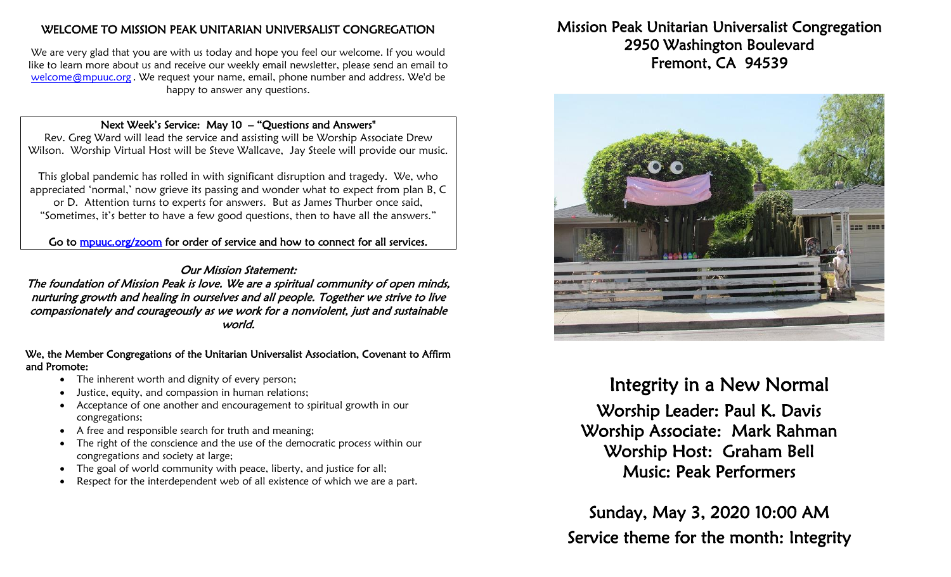## WELCOME TO MISSION PEAK UNITARIAN UNIVERSALIST CONGREGATION

We are very glad that you are with us today and hope you feel our welcome. If you would like to learn more about us and receive our weekly email newsletter, please send an email to [welcome@mpuuc.org](mailto:welcome@mpuuc.org) . We request your name, email, phone number and address. We'd be happy to answer any questions.

#### Next Week's Service: May 10 – "Questions and Answers"

Rev. Greg Ward will lead the service and assisting will be Worship Associate Drew Wilson. Worship Virtual Host will be Steve Wallcave, Jay Steele will provide our music.

This global pandemic has rolled in with significant disruption and tragedy. We, who appreciated 'normal,' now grieve its passing and wonder what to expect from plan B, C or D. Attention turns to experts for answers. But as James Thurber once said, "Sometimes, it's better to have a few good questions, then to have all the answers."

Go to [mpuuc.org/zoom](https://mpuuc.org/zoom) for order of service and how to connect for all services.

### Our Mission Statement:

The foundation of Mission Peak is love. We are a spiritual community of open minds, nurturing growth and healing in ourselves and all people. Together we strive to live compassionately and courageously as we work for a nonviolent, just and sustainable world.

#### We, the Member Congregations of the Unitarian Universalist Association, Covenant to Affirm and Promote:

- The inherent worth and dignity of every person;
- Justice, equity, and compassion in human relations;
- Acceptance of one another and encouragement to spiritual growth in our congregations;
- A free and responsible search for truth and meaning;
- The right of the conscience and the use of the democratic process within our congregations and society at large;
- The goal of world community with peace, liberty, and justice for all;
- Respect for the interdependent web of all existence of which we are a part.

# Mission Peak Unitarian Universalist Congregation 2950 Washington Boulevard Fremont, CA 94539



# Integrity in a New Normal

Worship Leader: Paul K. Davis Worship Associate: Mark Rahman Worship Host: Graham Bell Music: Peak Performers

Sunday, May 3, 2020 10:00 AM Service theme for the month: Integrity